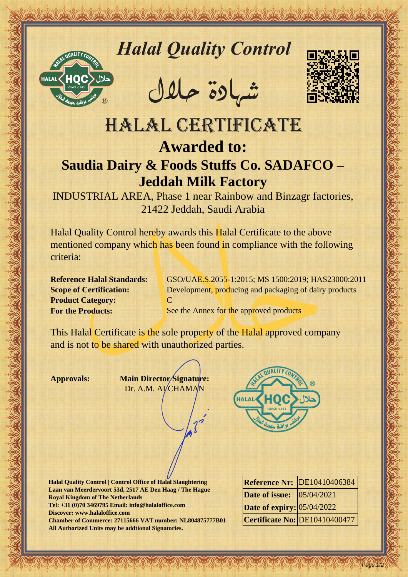

## *Halal Quality Control*

REACTOR AND THE REAL PROPERTY OF THE REAL PROPERTY

�شهادة حالل



## HALAL CERTIFICATE<br>
MALAL CERTIFICATE<br>
Saudia Dairy & Foods Stuffs Co. SADAFCO-<br>
NEWSLAM CERTIFICATE<br>
A Foods Stuffs Co. SADAFCO-<br>
MALAL CERTIFICATE<br>
Saudia Dairy & Foods Stuffs Co. SADAFCO-<br>
NDUSTRIAL AREA (Particular Sect HALAL CERTIFICATE **Awarded to: Saudia Dairy & Foods Stuffs Co. SADAFCO – Jeddah Milk Factory**

INDUSTRIAL AREA, Phase 1 near Rainbow and Binzagr factories, 21422 Jeddah, Saudi Arabia

Halal Quality Control hereby awards this Halal Certificate to the above mentioned company which has been found in compliance with the following criteria:

**Product Category:** C

**Reference Halal Standards:** GSO/UAE.S.2055-1:2015; MS 1500:2019; HAS23000:2011 **Scope of Certification:** Development, producing and packaging of dairy products

**For the Products:** See the Annex for the approved products

This Halal Certificate is the sole property of the Halal approved company and is not to be shared with unauthorized parties.

**Approvals: Main Director Signature:** Dr. A.M. ALCHAMAN



**Halal Quality Control | Control Office of Halal Slaughtering Laan van Meerdervoort 53d, 2517 AE Den Haag / The Hague Royal Kingdom of The Netherlands Tel: +31 (0)70 3469795 Email: info@halaloffice.com Discover: www.halaloffice.com Chamber of Commerce: 27115666 VAT number: NL804875777B01 All Authorized Units may be addtional Signatories.**

|                                      | Reference Nr: DE10410406384   |
|--------------------------------------|-------------------------------|
| <b>Date of issue:</b> $ 05/04/2021 $ |                               |
| Date of expiry: 05/04/2022           |                               |
|                                      | Certificate No: DE10410400477 |

Page 1/2